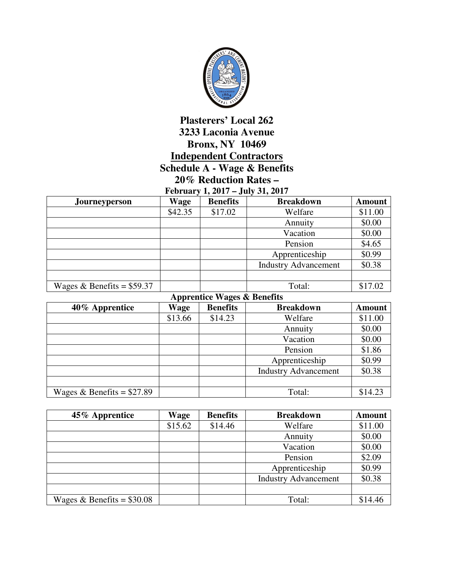

## **Plasterers' Local 262 3233 Laconia Avenue Bronx, NY 10469 Independent Contractors Schedule A - Wage & Benefits 20% Reduction Rates –**

|  |  | February 1, 2017 – July 31, 2017 |  |
|--|--|----------------------------------|--|
|  |  |                                  |  |

| <b>Journeyperson</b>        | <b>Wage</b> | <b>Benefits</b> | <b>Breakdown</b>            | <b>Amount</b> |
|-----------------------------|-------------|-----------------|-----------------------------|---------------|
|                             | \$42.35     | \$17.02         | Welfare                     | \$11.00       |
|                             |             |                 | Annuity                     | \$0.00        |
|                             |             |                 | Vacation                    | \$0.00        |
|                             |             |                 | Pension                     | \$4.65        |
|                             |             |                 | Apprenticeship              | \$0.99        |
|                             |             |                 | <b>Industry Advancement</b> | \$0.38        |
|                             |             |                 |                             |               |
| Wages & Benefits = $$59.37$ |             |                 | Total:                      | \$17.02       |

|                             | <b>Apprentice Wages &amp; Benefits</b> |                 |                             |               |  |
|-----------------------------|----------------------------------------|-----------------|-----------------------------|---------------|--|
| 40% Apprentice              | Wage                                   | <b>Benefits</b> | <b>Breakdown</b>            | <b>Amount</b> |  |
|                             | \$13.66                                | \$14.23         | Welfare                     | \$11.00       |  |
|                             |                                        |                 | Annuity                     | \$0.00        |  |
|                             |                                        |                 | Vacation                    | \$0.00        |  |
|                             |                                        |                 | Pension                     | \$1.86        |  |
|                             |                                        |                 | Apprenticeship              | \$0.99        |  |
|                             |                                        |                 | <b>Industry Advancement</b> | \$0.38        |  |
|                             |                                        |                 |                             |               |  |
| Wages & Benefits = $$27.89$ |                                        |                 | Total:                      | \$14.23       |  |

| 45% Apprentice              | Wage    | <b>Benefits</b> | <b>Breakdown</b>            | <b>Amount</b> |
|-----------------------------|---------|-----------------|-----------------------------|---------------|
|                             | \$15.62 | \$14.46         | Welfare                     | \$11.00       |
|                             |         |                 | Annuity                     | \$0.00        |
|                             |         |                 | Vacation                    | \$0.00        |
|                             |         |                 | Pension                     | \$2.09        |
|                             |         |                 | Apprenticeship              | \$0.99        |
|                             |         |                 | <b>Industry Advancement</b> | \$0.38        |
|                             |         |                 |                             |               |
| Wages & Benefits = $$30.08$ |         |                 | Total:                      | \$14.46       |